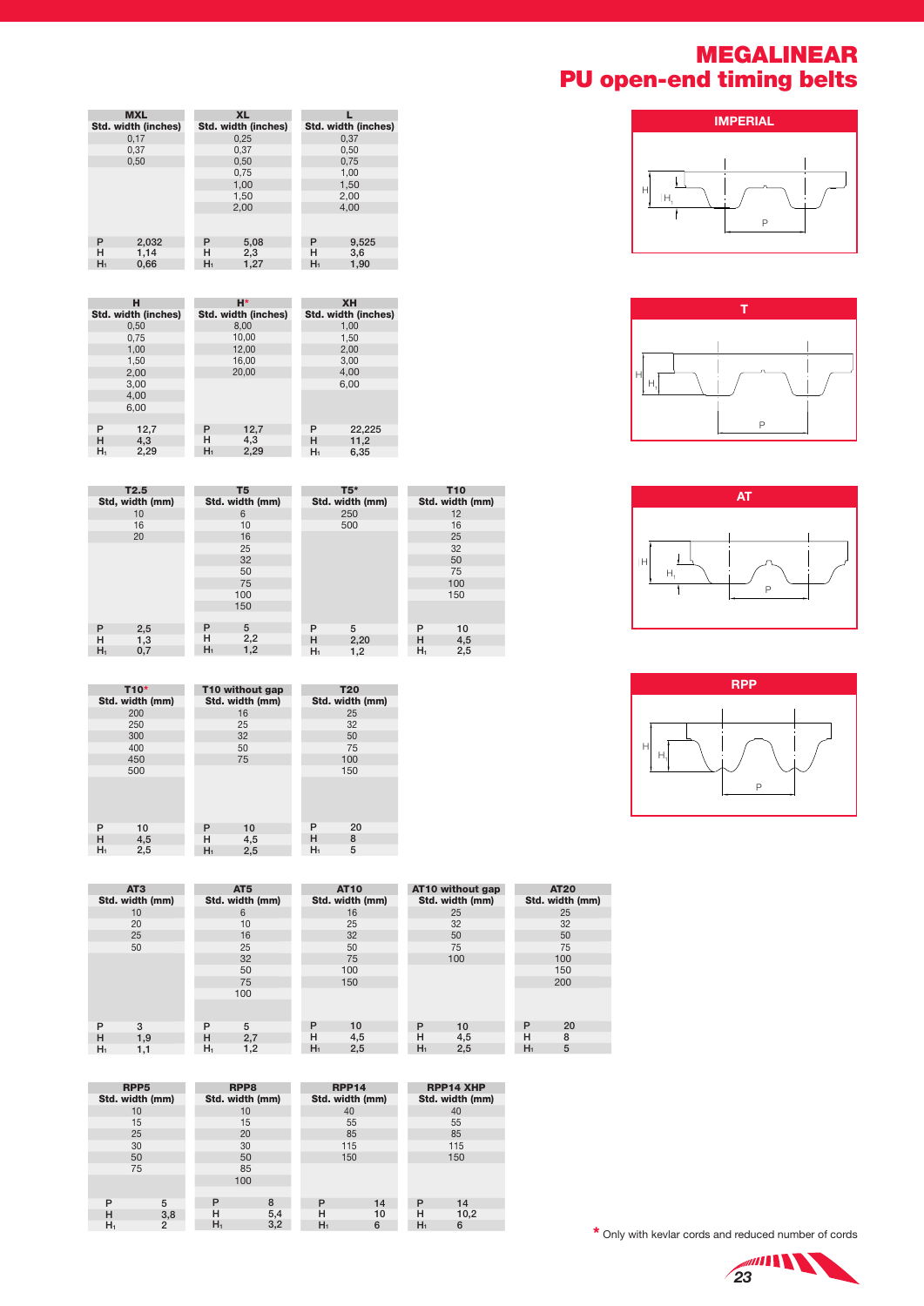## MEGALINEAR PU open-end timing belts









|       | <b>MXL</b>                 |       | <b>XL</b>           |  |       |                     |  |  |
|-------|----------------------------|-------|---------------------|--|-------|---------------------|--|--|
|       | <b>Std. width (inches)</b> |       | Std. width (inches) |  |       | Std. width (inches) |  |  |
|       | 0,17                       |       | 0,25                |  |       | 0,37                |  |  |
|       | 0,37                       |       | 0,37                |  |       | 0,50                |  |  |
|       | 0,50                       |       | 0,50                |  |       | 0,75                |  |  |
|       |                            |       | 0,75                |  |       | 1,00                |  |  |
|       |                            |       | 1,00                |  |       | 1,50                |  |  |
|       |                            |       | 1,50                |  |       | 2,00                |  |  |
|       |                            |       | 2,00                |  |       | 4,00                |  |  |
|       |                            |       |                     |  |       |                     |  |  |
| P     | 2,032                      | P     | 5,08                |  | P     | 9,525               |  |  |
| н     | 1,14                       | н     | 2,3                 |  | н     | 3,6                 |  |  |
| $H_1$ | 0,66                       | $H_1$ | 1,27                |  | $H_1$ | 1,90                |  |  |

|       | н                   |       | H*                  |       | <b>XH</b>           |  |
|-------|---------------------|-------|---------------------|-------|---------------------|--|
|       | Std. width (inches) |       | Std. width (inches) |       | Std. width (inches) |  |
|       | 0.50                |       | 8.00                |       | 1.00                |  |
|       | 0.75                |       | 10.00               |       | 1.50                |  |
|       | 1.00                |       | 12,00               |       | 2.00                |  |
|       | 1,50                |       | 16,00               |       | 3.00                |  |
| 2,00  |                     |       | 20.00               | 4.00  |                     |  |
|       | 3,00                |       |                     |       | 6.00                |  |
|       | 4.00                |       |                     |       |                     |  |
|       | 6.00                |       |                     |       |                     |  |
|       |                     |       |                     |       |                     |  |
| P     | 12,7                | P     | 12,7                | P     | 22,225              |  |
| н     | 4.3                 | н     | 4.3                 | н     | 11,2                |  |
| $H_1$ | 2,29                | $H_1$ | 2,29                | $H_1$ | 6,35                |  |
|       |                     |       |                     |       |                     |  |

|       | T2.5            |       | T <sub>5</sub>  |       | $T5*$           |       | <b>T10</b>      |
|-------|-----------------|-------|-----------------|-------|-----------------|-------|-----------------|
|       | Std, width (mm) |       | Std. width (mm) |       | Std. width (mm) |       | Std. width (mm) |
|       | 10              |       | 6               |       | 250             |       | 12              |
|       | 16              |       | 10              |       | 500             |       | 16              |
|       | 20              |       | 16              |       |                 |       | 25              |
|       |                 |       | 25              |       |                 |       | 32              |
|       |                 |       | 32              |       |                 |       | 50              |
|       |                 |       | 50              |       |                 |       | 75              |
|       |                 |       | 75              |       |                 |       | 100             |
|       |                 |       | 100             |       |                 |       | 150             |
|       |                 |       | 150             |       |                 |       |                 |
|       |                 |       |                 |       |                 |       |                 |
| P     | 2,5             | P     | 5               | P     | 5               | P     | 10              |
| н     | 1,3             | н     | 2,2             | н     | 2,20            | н     | 4,5             |
| $H_1$ | 0,7             | $H_1$ | 1,2             | $H_1$ | 1,2             | $H_1$ | 2,5             |

|       | T <sub>10</sub> * |       | T10 without gap |    | <b>T20</b>      |  |
|-------|-------------------|-------|-----------------|----|-----------------|--|
|       | Std. width (mm)   |       | Std. width (mm) |    | Std. width (mm) |  |
|       | 200               |       | 16              |    | 25              |  |
|       | 250               |       | 25              |    | 32              |  |
|       | 300               |       | 32              |    | 50              |  |
|       | 400               |       | 50              |    | 75              |  |
|       | 450               |       | 75              |    | 100             |  |
|       | 500               |       |                 |    | 150             |  |
|       |                   |       |                 |    |                 |  |
|       |                   |       |                 |    |                 |  |
|       |                   |       |                 |    |                 |  |
|       |                   |       |                 |    |                 |  |
| P     | 10                | P     | 10              | P  | 20              |  |
| н     | 4,5               | н     | 4,5             | н  | 8               |  |
| $H_1$ | 2,5               | $H_1$ | 2,5             | Hı | 5               |  |

|                | AT <sub>3</sub> |       | AT <sub>5</sub> |                | <b>AT10</b>     |       | AT10 without gap |       | <b>AT20</b>     |  |
|----------------|-----------------|-------|-----------------|----------------|-----------------|-------|------------------|-------|-----------------|--|
|                | Std. width (mm) |       | Std. width (mm) |                | Std. width (mm) |       | Std. width (mm)  |       | Std. width (mm) |  |
|                | 10              |       | 6               |                | 16              |       | 25               |       | 25              |  |
|                | 20              |       | 10              |                | 25              |       | 32               |       | 32              |  |
|                | 25              |       | 16              |                | 32              |       | 50               |       | 50              |  |
|                | 50              |       | 25              |                | 50              |       | 75               |       | 75              |  |
|                |                 |       | 32              |                | 75              |       | 100              |       | 100             |  |
|                |                 |       | 50              |                | 100             |       |                  |       | 150             |  |
|                |                 |       | 75              |                | 150             |       |                  |       | 200             |  |
|                |                 |       | 100             |                |                 |       |                  |       |                 |  |
|                |                 |       |                 |                |                 |       |                  |       |                 |  |
|                |                 |       |                 |                |                 |       |                  |       |                 |  |
| P              | 3               | P     | 5               | P              | 10              | P     | 10               | P     | 20              |  |
| н              | 1,9             | н     | 2,7             | H              | 4,5             | н     | 4,5              | н     | 8               |  |
| H <sub>1</sub> | 1,1             | $H_1$ | 1,2             | H <sub>1</sub> | 2,5             | $H_1$ | 2,5              | $H_1$ | 5               |  |

| RPP <sub>5</sub> |     | RPP <sub>8</sub> |     |    | <b>RPP14</b>    |                 | <b>RPP14 XHP</b> |  |
|------------------|-----|------------------|-----|----|-----------------|-----------------|------------------|--|
| Std. width (mm)  |     | Std. width (mm)  |     |    | Std. width (mm) | Std. width (mm) |                  |  |
| 10               |     | 10               |     |    | 40              |                 | 40               |  |
| 15               |     | 15               |     |    | 55              |                 | 55               |  |
| 25               |     | 20               |     |    | 85              |                 | 85               |  |
| 30               |     | 30               |     |    | 115             |                 | 115              |  |
| 50               |     | 50               |     |    | 150             |                 | 150              |  |
| 75               |     | 85               |     |    |                 |                 |                  |  |
|                  |     | 100              |     |    |                 |                 |                  |  |
|                  |     |                  |     |    |                 |                 |                  |  |
| P                | 5   | P                | 8   | P  | 14              | P               | 14               |  |
| н                | 3,8 | н                | 5,4 | н  | 10              | н               | 10,2             |  |
| $H_1$            | 2   | $H_1$            | 3,2 | H۱ | 6               | н.              | 6                |  |

\* Only with kevlar cords and reduced number of cords